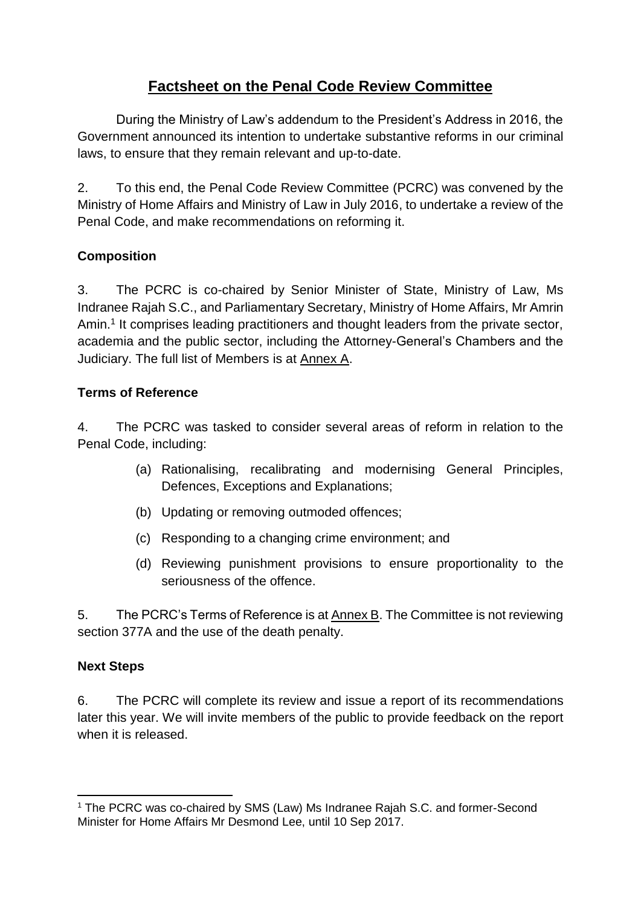# **Factsheet on the Penal Code Review Committee**

During the Ministry of Law's addendum to the President's Address in 2016, the Government announced its intention to undertake substantive reforms in our criminal laws, to ensure that they remain relevant and up-to-date.

2. To this end, the Penal Code Review Committee (PCRC) was convened by the Ministry of Home Affairs and Ministry of Law in July 2016, to undertake a review of the Penal Code, and make recommendations on reforming it.

## **Composition**

3. The PCRC is co-chaired by Senior Minister of State, Ministry of Law, Ms Indranee Rajah S.C., and Parliamentary Secretary, Ministry of Home Affairs, Mr Amrin Amin.<sup>1</sup> It comprises leading practitioners and thought leaders from the private sector, academia and the public sector, including the Attorney-General's Chambers and the Judiciary. The full list of Members is at Annex A.

### **Terms of Reference**

4. The PCRC was tasked to consider several areas of reform in relation to the Penal Code, including:

- (a) Rationalising, recalibrating and modernising General Principles, Defences, Exceptions and Explanations;
- (b) Updating or removing outmoded offences;
- (c) Responding to a changing crime environment; and
- (d) Reviewing punishment provisions to ensure proportionality to the seriousness of the offence.

5. The PCRC's Terms of Reference is at Annex B. The Committee is not reviewing section 377A and the use of the death penalty.

#### **Next Steps**

6. The PCRC will complete its review and issue a report of its recommendations later this year. We will invite members of the public to provide feedback on the report when it is released.

**<sup>.</sup>** <sup>1</sup> The PCRC was co-chaired by SMS (Law) Ms Indranee Rajah S.C. and former-Second Minister for Home Affairs Mr Desmond Lee, until 10 Sep 2017.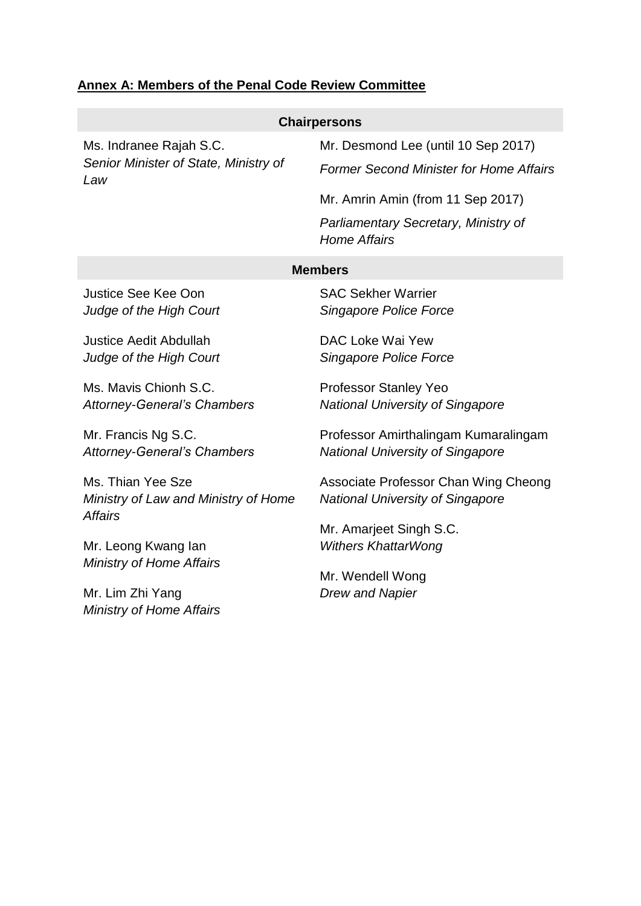## **Annex A: Members of the Penal Code Review Committee**

| <b>Chairpersons</b>                                                     |                                                             |
|-------------------------------------------------------------------------|-------------------------------------------------------------|
| Ms. Indranee Rajah S.C.<br>Senior Minister of State, Ministry of<br>Law | Mr. Desmond Lee (until 10 Sep 2017)                         |
|                                                                         | <b>Former Second Minister for Home Affairs</b>              |
|                                                                         | Mr. Amrin Amin (from 11 Sep 2017)                           |
|                                                                         | Parliamentary Secretary, Ministry of<br><b>Home Affairs</b> |
| <b>Members</b>                                                          |                                                             |
| <b>Justice See Kee Oon</b>                                              | <b>SAC Sekher Warrier</b>                                   |
| Judge of the High Court                                                 | Singapore Police Force                                      |
| <b>Justice Aedit Abdullah</b>                                           | DAC Loke Wai Yew                                            |
| Judge of the High Court                                                 | Singapore Police Force                                      |
| Ms. Mavis Chionh S.C.                                                   | <b>Professor Stanley Yeo</b>                                |
| <b>Attorney-General's Chambers</b>                                      | <b>National University of Singapore</b>                     |
| Mr. Francis Ng S.C.                                                     | Professor Amirthalingam Kumaralingam                        |
| <b>Attorney-General's Chambers</b>                                      | <b>National University of Singapore</b>                     |
| Ms. Thian Yee Sze                                                       | Associate Professor Chan Wing Cheong                        |
| Ministry of Law and Ministry of Home<br><b>Affairs</b>                  | <b>National University of Singapore</b>                     |
|                                                                         | Mr. Amarjeet Singh S.C.                                     |
| Mr. Leong Kwang lan                                                     | <b>Withers KhattarWong</b>                                  |
| Ministry of Home Affairs                                                | Mr. Wendell Wong                                            |
| Mr. Lim Zhi Yang                                                        | <b>Drew and Napier</b>                                      |
| <b>Ministry of Home Affairs</b>                                         |                                                             |